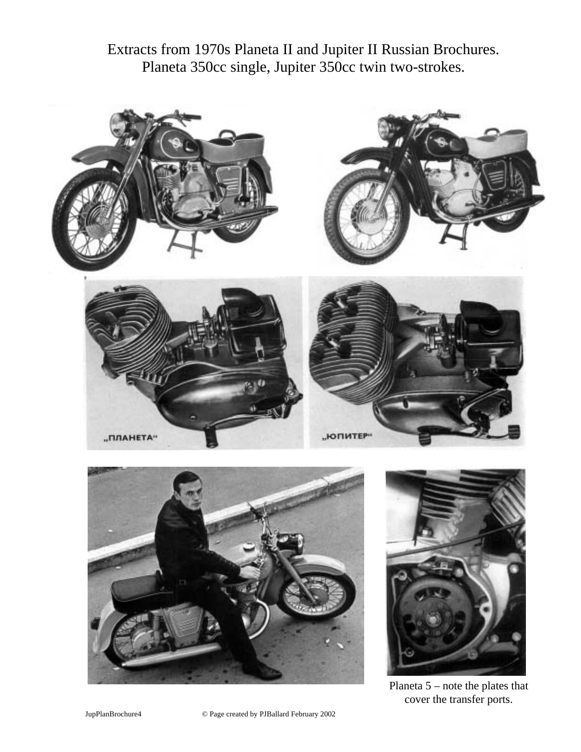Extracts from 1970s Planeta II and Jupiter II Russian Brochures. Planeta 350cc single, Jupiter 350cc twin two-strokes.







Planeta 5 – note the plates that cover the transfer ports.

JupPlanBrochure4 © Page created by PJBallard February 2002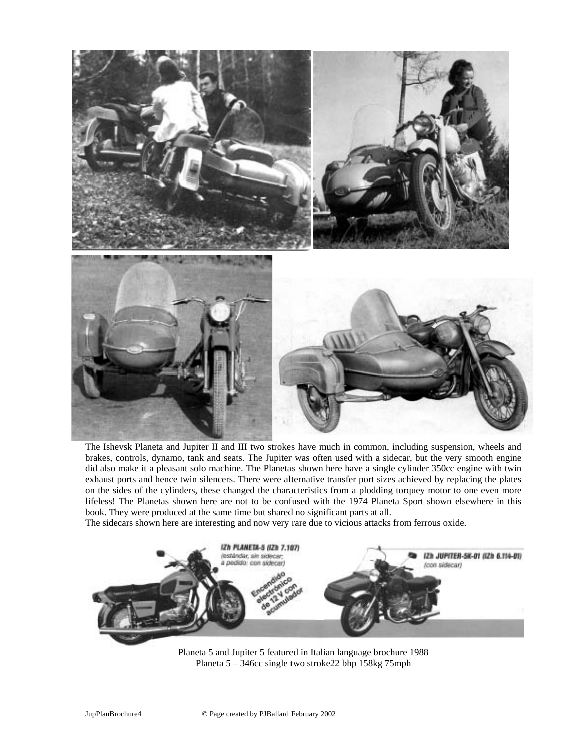

The Ishevsk Planeta and Jupiter II and III two strokes have much in common, including suspension, wheels and brakes, controls, dynamo, tank and seats. The Jupiter was often used with a sidecar, but the very smooth engine did also make it a pleasant solo machine. The Planetas shown here have a single cylinder 350cc engine with twin exhaust ports and hence twin silencers. There were alternative transfer port sizes achieved by replacing the plates on the sides of the cylinders, these changed the characteristics from a plodding torquey motor to one even more lifeless! The Planetas shown here are not to be confused with the 1974 Planeta Sport shown elsewhere in this book. They were produced at the same time but shared no significant parts at all.

The sidecars shown here are interesting and now very rare due to vicious attacks from ferrous oxide.



Planeta 5 and Jupiter 5 featured in Italian language brochure 1988 Planeta 5 – 346cc single two stroke22 bhp 158kg 75mph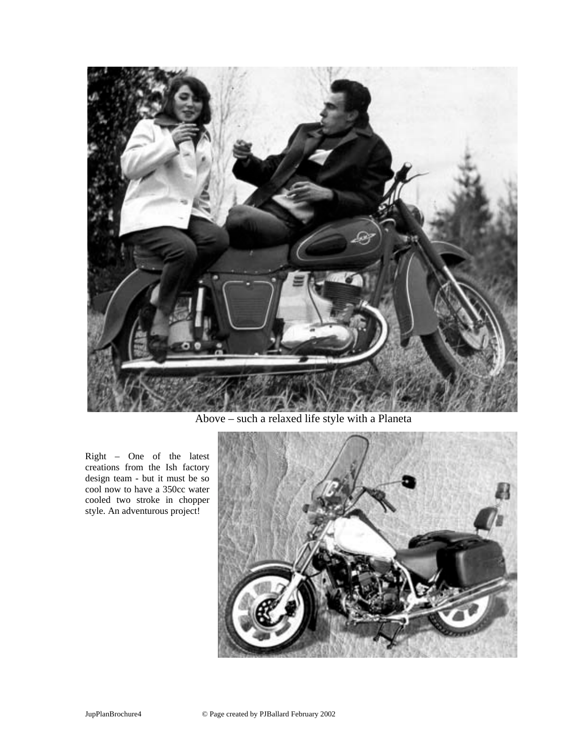

Above – such a relaxed life style with a Planeta

Right – One of the latest creations from the Ish factory design team - but it must be so cool now to have a 350cc water cooled two stroke in chopper style. An adventurous project!